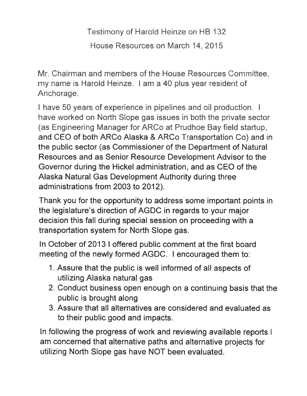Testimony of Harold Heinze on HB 132

House Resouces on March 14, 2015

Mr. Chairman and members of the House Resources Committee, my name is Harold Heinze. I am a 40 plus year resident of Anchorage.

I have 50 years of experience in pipelines and oil production. I have worked on North Slope gas issues in both the private sector (as Engineering Manager for ARCo at Prudhoe Bay field startup, and CEO of both ARCo Alaska & ARCo Transportation Co) and in the public sector (as Commissioner of the Department of Natural Resources and as Senior Resource Development Advisor to the Governor during the Hickel administration, and as CEO of the Alaska Natural Gas Development Authority during three administrations from 2003 to 2012).

Thank you for the opportunity to address some important points in the legislature's direction of AGDC in regards to your major decision this fall during special session on proceeding with <sup>a</sup> transportation system for North Slope gas.

In October of 2013 I offered public comment at the first board meeting of the newly formed AGDC. <sup>I</sup> encouraged them to:

- 1. Assure that the public is well informed of all aspects of utilizing Alaska natural gas
- 2. Conduct business open enough on <sup>a</sup> continuing basis that the public is brought along
- 3. Assure that all alternatives are considered and evaluated as to their public good and impacts.

In following the progress of work and reviewing available reports I am concerned that alternative paths and alternative projects for utilizing North Slope gas have NOT been evaluated.